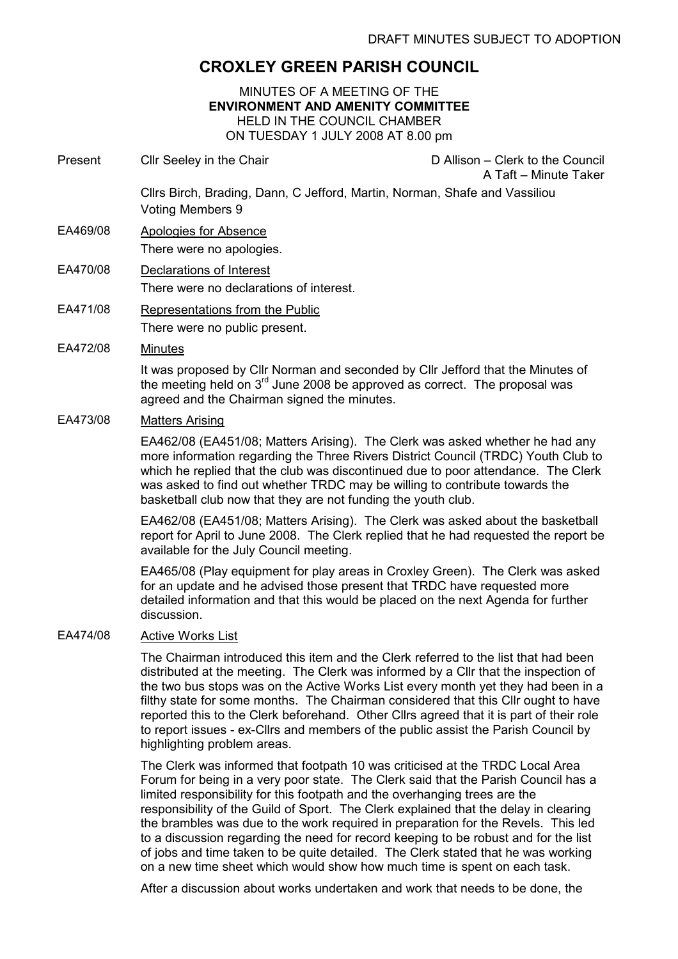# CROXLEY GREEN PARISH COUNCIL

### MINUTES OF A MEETING OF THE ENVIRONMENT AND AMENITY COMMITTEE HELD IN THE COUNCIL CHAMBER ON TUESDAY 1 JULY 2008 AT 8.00 pm

- Present Cllr Seeley in the Chair Chair D Allison Clerk to the Council A Taft – Minute Taker Cllrs Birch, Brading, Dann, C Jefford, Martin, Norman, Shafe and Vassiliou Voting Members 9
- EA469/08 Apologies for Absence There were no apologies.

## EA470/08 Declarations of Interest There were no declarations of interest.

- EA471/08 Representations from the Public There were no public present.
- EA472/08 Minutes

It was proposed by Cllr Norman and seconded by Cllr Jefford that the Minutes of the meeting held on  $3<sup>rd</sup>$  June 2008 be approved as correct. The proposal was agreed and the Chairman signed the minutes.

## EA473/08 Matters Arising

EA462/08 (EA451/08; Matters Arising). The Clerk was asked whether he had any more information regarding the Three Rivers District Council (TRDC) Youth Club to which he replied that the club was discontinued due to poor attendance. The Clerk was asked to find out whether TRDC may be willing to contribute towards the basketball club now that they are not funding the youth club.

EA462/08 (EA451/08; Matters Arising). The Clerk was asked about the basketball report for April to June 2008. The Clerk replied that he had requested the report be available for the July Council meeting.

EA465/08 (Play equipment for play areas in Croxley Green). The Clerk was asked for an update and he advised those present that TRDC have requested more detailed information and that this would be placed on the next Agenda for further discussion.

### EA474/08 Active Works List

The Chairman introduced this item and the Clerk referred to the list that had been distributed at the meeting. The Clerk was informed by a Cllr that the inspection of the two bus stops was on the Active Works List every month yet they had been in a filthy state for some months. The Chairman considered that this Cllr ought to have reported this to the Clerk beforehand. Other Cllrs agreed that it is part of their role to report issues - ex-Cllrs and members of the public assist the Parish Council by highlighting problem areas.

The Clerk was informed that footpath 10 was criticised at the TRDC Local Area Forum for being in a very poor state. The Clerk said that the Parish Council has a limited responsibility for this footpath and the overhanging trees are the responsibility of the Guild of Sport. The Clerk explained that the delay in clearing the brambles was due to the work required in preparation for the Revels. This led to a discussion regarding the need for record keeping to be robust and for the list of jobs and time taken to be quite detailed. The Clerk stated that he was working on a new time sheet which would show how much time is spent on each task.

After a discussion about works undertaken and work that needs to be done, the